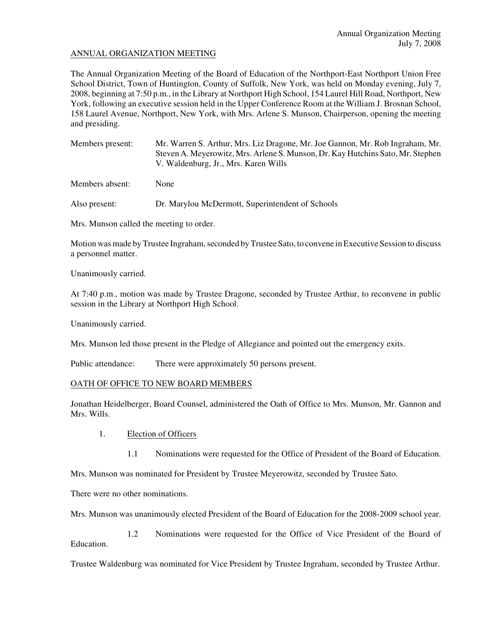# ANNUAL ORGANIZATION MEETING

The Annual Organization Meeting of the Board of Education of the Northport-East Northport Union Free School District, Town of Huntington, County of Suffolk, New York, was held on Monday evening, July 7, 2008, beginning at 7:50 p.m., in the Library at Northport High School, 154 Laurel Hill Road, Northport, New York, following an executive session held in the Upper Conference Room at the William J. Brosnan School, 158 Laurel Avenue, Northport, New York, with Mrs. Arlene S. Munson, Chairperson, opening the meeting and presiding.

| Members present: | Mr. Warren S. Arthur, Mrs. Liz Dragone, Mr. Joe Gannon, Mr. Rob Ingraham, Mr.   |
|------------------|---------------------------------------------------------------------------------|
|                  | Steven A. Meyerowitz, Mrs. Arlene S. Munson, Dr. Kay Hutchins Sato, Mr. Stephen |
|                  | V. Waldenburg, Jr., Mrs. Karen Wills                                            |

Members absent: None

Also present: Dr. Marylou McDermott, Superintendent of Schools

Mrs. Munson called the meeting to order.

Motion was made by Trustee Ingraham, seconded by Trustee Sato, to convene in Executive Session to discuss a personnel matter.

Unanimously carried.

At 7:40 p.m., motion was made by Trustee Dragone, seconded by Trustee Arthur, to reconvene in public session in the Library at Northport High School.

Unanimously carried.

Mrs. Munson led those present in the Pledge of Allegiance and pointed out the emergency exits.

Public attendance: There were approximately 50 persons present.

# OATH OF OFFICE TO NEW BOARD MEMBERS

Jonathan Heidelberger, Board Counsel, administered the Oath of Office to Mrs. Munson, Mr. Gannon and Mrs. Wills.

- 1. Election of Officers
	- 1.1 Nominations were requested for the Office of President of the Board of Education.

Mrs. Munson was nominated for President by Trustee Meyerowitz, seconded by Trustee Sato.

There were no other nominations.

Mrs. Munson was unanimously elected President of the Board of Education for the 2008-2009 school year.

1.2 Nominations were requested for the Office of Vice President of the Board of Education.

Trustee Waldenburg was nominated for Vice President by Trustee Ingraham, seconded by Trustee Arthur.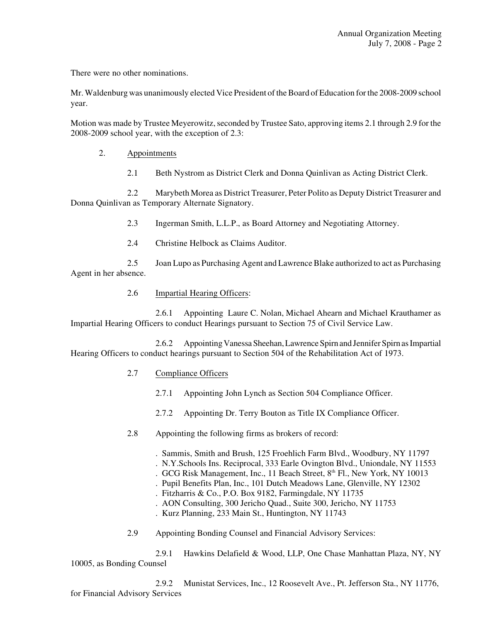There were no other nominations.

Mr. Waldenburg was unanimously elected Vice President of the Board of Education for the 2008-2009 school year.

Motion was made by Trustee Meyerowitz, seconded by Trustee Sato, approving items 2.1 through 2.9 for the 2008-2009 school year, with the exception of 2.3:

#### 2. Appointments

2.1 Beth Nystrom as District Clerk and Donna Quinlivan as Acting District Clerk.

2.2 Marybeth Morea as District Treasurer, Peter Polito as Deputy District Treasurer and Donna Quinlivan as Temporary Alternate Signatory.

2.3 Ingerman Smith, L.L.P., as Board Attorney and Negotiating Attorney.

2.4 Christine Helbock as Claims Auditor.

2.5 Joan Lupo as Purchasing Agent and Lawrence Blake authorized to act as Purchasing Agent in her absence.

# 2.6 Impartial Hearing Officers:

2.6.1 Appointing Laure C. Nolan, Michael Ahearn and Michael Krauthamer as Impartial Hearing Officers to conduct Hearings pursuant to Section 75 of Civil Service Law.

2.6.2 Appointing Vanessa Sheehan, Lawrence Spirn and Jennifer Spirn as Impartial Hearing Officers to conduct hearings pursuant to Section 504 of the Rehabilitation Act of 1973.

# 2.7 Compliance Officers

- 2.7.1 Appointing John Lynch as Section 504 Compliance Officer.
- 2.7.2 Appointing Dr. Terry Bouton as Title IX Compliance Officer.
- 2.8 Appointing the following firms as brokers of record:

. Sammis, Smith and Brush, 125 Froehlich Farm Blvd., Woodbury, NY 11797

- . N.Y.Schools Ins. Reciprocal, 333 Earle Ovington Blvd., Uniondale, NY 11553
- . GCG Risk Management, Inc., 11 Beach Street, 8th Fl., New York, NY 10013
- . Pupil Benefits Plan, Inc., 101 Dutch Meadows Lane, Glenville, NY 12302
- . Fitzharris & Co., P.O. Box 9182, Farmingdale, NY 11735
- . AON Consulting, 300 Jericho Quad., Suite 300, Jericho, NY 11753
- . Kurz Planning, 233 Main St., Huntington, NY 11743
- 2.9 Appointing Bonding Counsel and Financial Advisory Services:

2.9.1 Hawkins Delafield & Wood, LLP, One Chase Manhattan Plaza, NY, NY 10005, as Bonding Counsel

2.9.2 Munistat Services, Inc., 12 Roosevelt Ave., Pt. Jefferson Sta., NY 11776, for Financial Advisory Services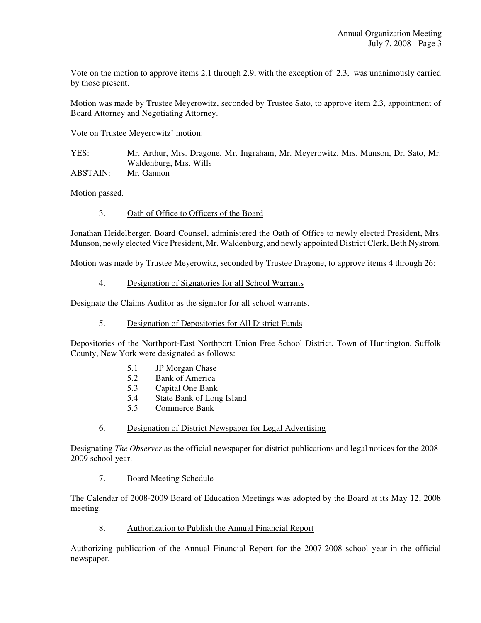Vote on the motion to approve items 2.1 through 2.9, with the exception of 2.3, was unanimously carried by those present.

Motion was made by Trustee Meyerowitz, seconded by Trustee Sato, to approve item 2.3, appointment of Board Attorney and Negotiating Attorney.

Vote on Trustee Meyerowitz' motion:

YES: Mr. Arthur, Mrs. Dragone, Mr. Ingraham, Mr. Meyerowitz, Mrs. Munson, Dr. Sato, Mr. Waldenburg, Mrs. Wills ABSTAIN: Mr. Gannon

Motion passed.

#### 3. Oath of Office to Officers of the Board

Jonathan Heidelberger, Board Counsel, administered the Oath of Office to newly elected President, Mrs. Munson, newly elected Vice President, Mr. Waldenburg, and newly appointed District Clerk, Beth Nystrom.

Motion was made by Trustee Meyerowitz, seconded by Trustee Dragone, to approve items 4 through 26:

#### 4. Designation of Signatories for all School Warrants

Designate the Claims Auditor as the signator for all school warrants.

#### 5. Designation of Depositories for All District Funds

Depositories of the Northport-East Northport Union Free School District, Town of Huntington, Suffolk County, New York were designated as follows:

- 5.1 JP Morgan Chase
- 5.2 Bank of America
- 5.3 Capital One Bank
- 5.4 State Bank of Long Island
- 5.5 Commerce Bank
- 6. Designation of District Newspaper for Legal Advertising

Designating *The Observer* as the official newspaper for district publications and legal notices for the 2008- 2009 school year.

#### 7. Board Meeting Schedule

The Calendar of 2008-2009 Board of Education Meetings was adopted by the Board at its May 12, 2008 meeting.

# 8. Authorization to Publish the Annual Financial Report

Authorizing publication of the Annual Financial Report for the 2007-2008 school year in the official newspaper.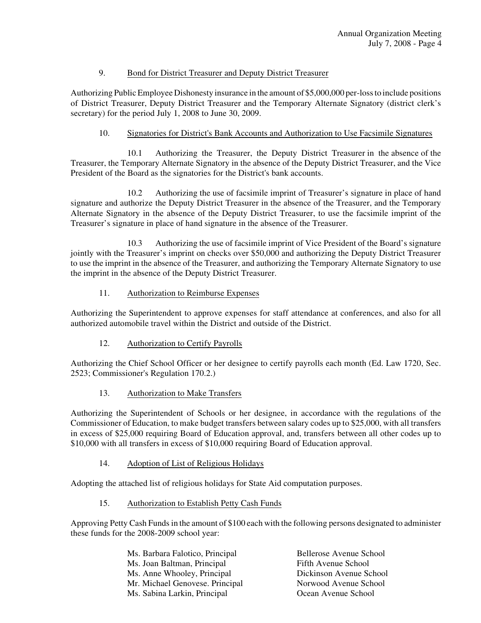# 9. Bond for District Treasurer and Deputy District Treasurer

Authorizing Public Employee Dishonesty insurance in the amount of \$5,000,000 per-loss to include positions of District Treasurer, Deputy District Treasurer and the Temporary Alternate Signatory (district clerk's secretary) for the period July 1, 2008 to June 30, 2009.

# 10. Signatories for District's Bank Accounts and Authorization to Use Facsimile Signatures

10.1 Authorizing the Treasurer, the Deputy District Treasurer in the absence of the Treasurer, the Temporary Alternate Signatory in the absence of the Deputy District Treasurer, and the Vice President of the Board as the signatories for the District's bank accounts.

10.2 Authorizing the use of facsimile imprint of Treasurer's signature in place of hand signature and authorize the Deputy District Treasurer in the absence of the Treasurer, and the Temporary Alternate Signatory in the absence of the Deputy District Treasurer, to use the facsimile imprint of the Treasurer's signature in place of hand signature in the absence of the Treasurer.

10.3 Authorizing the use of facsimile imprint of Vice President of the Board's signature jointly with the Treasurer's imprint on checks over \$50,000 and authorizing the Deputy District Treasurer to use the imprint in the absence of the Treasurer, and authorizing the Temporary Alternate Signatory to use the imprint in the absence of the Deputy District Treasurer.

# 11. Authorization to Reimburse Expenses

Authorizing the Superintendent to approve expenses for staff attendance at conferences, and also for all authorized automobile travel within the District and outside of the District.

# 12. Authorization to Certify Payrolls

Authorizing the Chief School Officer or her designee to certify payrolls each month (Ed. Law 1720, Sec. 2523; Commissioner's Regulation 170.2.)

#### 13. Authorization to Make Transfers

Authorizing the Superintendent of Schools or her designee, in accordance with the regulations of the Commissioner of Education, to make budget transfers between salary codes up to \$25,000, with all transfers in excess of \$25,000 requiring Board of Education approval, and, transfers between all other codes up to \$10,000 with all transfers in excess of \$10,000 requiring Board of Education approval.

# 14. Adoption of List of Religious Holidays

Adopting the attached list of religious holidays for State Aid computation purposes.

# 15. Authorization to Establish Petty Cash Funds

Approving Petty Cash Funds in the amount of \$100 each with the following persons designated to administer these funds for the 2008-2009 school year:

| Ms. Barbara Falotico, Principal | <b>Bellerose Avenue School</b> |
|---------------------------------|--------------------------------|
| Ms. Joan Baltman, Principal     | Fifth Avenue School            |
| Ms. Anne Whooley, Principal     | Dickinson Avenue School        |
| Mr. Michael Genovese. Principal | Norwood Avenue School          |
| Ms. Sabina Larkin, Principal    | Ocean Avenue School            |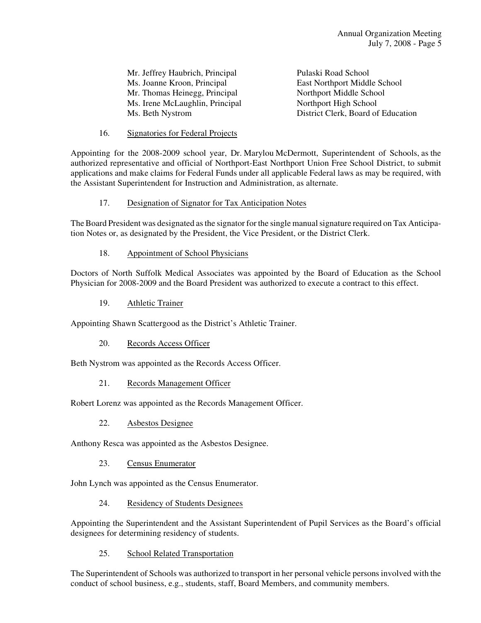Mr. Jeffrey Haubrich, Principal Pulaski Road School Ms. Joanne Kroon, Principal East Northport Middle School Mr. Thomas Heinegg, Principal Northport Middle School Ms. Irene McLaughlin, Principal Northport High School<br>Ms. Beth Nystrom District Clerk, Board of

District Clerk, Board of Education

16. Signatories for Federal Projects

Appointing for the 2008-2009 school year, Dr. Marylou McDermott, Superintendent of Schools, as the authorized representative and official of Northport-East Northport Union Free School District, to submit applications and make claims for Federal Funds under all applicable Federal laws as may be required, with the Assistant Superintendent for Instruction and Administration, as alternate.

# 17. Designation of Signator for Tax Anticipation Notes

The Board President was designated as the signator for the single manual signature required on Tax Anticipation Notes or, as designated by the President, the Vice President, or the District Clerk.

#### 18. Appointment of School Physicians

Doctors of North Suffolk Medical Associates was appointed by the Board of Education as the School Physician for 2008-2009 and the Board President was authorized to execute a contract to this effect.

19. Athletic Trainer

Appointing Shawn Scattergood as the District's Athletic Trainer.

20. Records Access Officer

Beth Nystrom was appointed as the Records Access Officer.

21. Records Management Officer

Robert Lorenz was appointed as the Records Management Officer.

22. Asbestos Designee

Anthony Resca was appointed as the Asbestos Designee.

23. Census Enumerator

John Lynch was appointed as the Census Enumerator.

24. Residency of Students Designees

Appointing the Superintendent and the Assistant Superintendent of Pupil Services as the Board's official designees for determining residency of students.

25. School Related Transportation

The Superintendent of Schools was authorized to transport in her personal vehicle persons involved with the conduct of school business, e.g., students, staff, Board Members, and community members.